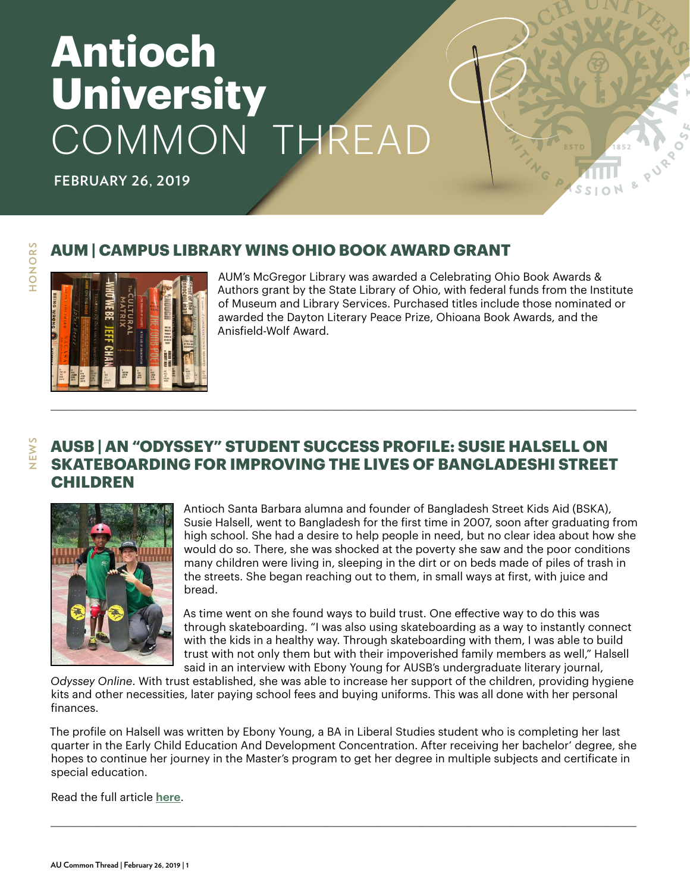# **Antioch University** COMMON THREAD

**FEBRUARY 26, 2019**

#### **AUM | CAMPUS LIBRARY WINS OHIO BOOK AWARD GRANT**



AUM's McGregor Library was awarded a Celebrating Ohio Book Awards & Authors grant by the State Library of Ohio, with federal funds from the Institute of Museum and Library Services. Purchased titles include those nominated or awarded the Dayton Literary Peace Prize, Ohioana Book Awards, and the Anisfield-Wolf Award.

**PURP** 

#### **AUSB | AN "ODYSSEY" STUDENT SUCCESS PROFILE: SUSIE HALSELL ON SKATEBOARDING FOR IMPROVING THE LIVES OF BANGLADESHI STREET CHILDREN**

\_\_\_\_\_\_\_\_\_\_\_\_\_\_\_\_\_\_\_\_\_\_\_\_\_\_\_\_\_\_\_\_\_\_\_\_\_\_\_\_\_\_\_\_\_\_\_\_\_\_\_\_\_\_\_\_\_\_\_\_\_\_\_\_\_\_\_\_\_\_\_\_\_\_\_\_\_\_\_\_\_\_\_\_\_\_\_\_\_\_\_\_\_\_\_\_\_\_\_\_\_\_\_\_



Antioch Santa Barbara alumna and founder of Bangladesh Street Kids Aid (BSKA), Susie Halsell, went to Bangladesh for the first time in 2007, soon after graduating from high school. She had a desire to help people in need, but no clear idea about how she would do so. There, she was shocked at the poverty she saw and the poor conditions many children were living in, sleeping in the dirt or on beds made of piles of trash in the streets. She began reaching out to them, in small ways at first, with juice and bread.

As time went on she found ways to build trust. One effective way to do this was through skateboarding. "I was also using skateboarding as a way to instantly connect with the kids in a healthy way. Through skateboarding with them, I was able to build trust with not only them but with their impoverished family members as well," Halsell said in an interview with Ebony Young for AUSB's undergraduate literary journal,

*Odyssey Online*. With trust established, she was able to increase her support of the children, providing hygiene kits and other necessities, later paying school fees and buying uniforms. This was all done with her personal finances.

The profile on Halsell was written by Ebony Young, a BA in Liberal Studies student who is completing her last quarter in the Early Child Education And Development Concentration. After receiving her bachelor' degree, she hopes to continue her journey in the Master's program to get her degree in multiple subjects and certificate in special education.

\_\_\_\_\_\_\_\_\_\_\_\_\_\_\_\_\_\_\_\_\_\_\_\_\_\_\_\_\_\_\_\_\_\_\_\_\_\_\_\_\_\_\_\_\_\_\_\_\_\_\_\_\_\_\_\_\_\_\_\_\_\_\_\_\_\_\_\_\_\_\_\_\_\_\_\_\_\_\_\_\_\_\_\_\_\_\_\_\_\_\_\_\_\_\_\_\_\_\_\_\_\_\_\_

Read the full article **[here](https://www.antioch.edu/santa-barbara/2019/02/19/ausbs-odyssey-student-successes-profile-susie-halsell-on-skateboarding-for-improving-the-lives-of-bangladeshi-street-children/)**.

**HONORS**

HONORS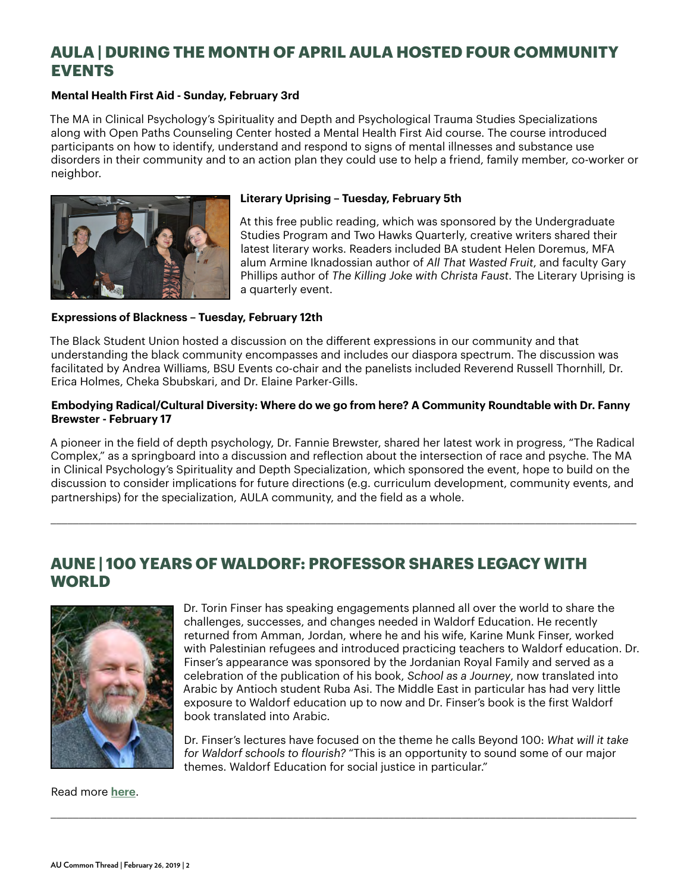#### **AULA | DURING THE MONTH OF APRIL AULA HOSTED FOUR COMMUNITY EVENTS**

#### **Mental Health First Aid - Sunday, February 3rd**

The MA in Clinical Psychology's Spirituality and Depth and Psychological Trauma Studies Specializations along with Open Paths Counseling Center hosted a Mental Health First Aid course. The course introduced participants on how to identify, understand and respond to signs of mental illnesses and substance use disorders in their community and to an action plan they could use to help a friend, family member, co-worker or neighbor.



#### **Literary Uprising – Tuesday, February 5th**

At this free public reading, which was sponsored by the Undergraduate Studies Program and Two Hawks Quarterly, creative writers shared their latest literary works. Readers included BA student Helen Doremus, MFA alum Armine Iknadossian author of *All That Wasted Fruit*, and faculty Gary Phillips author of *The Killing Joke with Christa Faust*. The Literary Uprising is a quarterly event.

#### **Expressions of Blackness – Tuesday, February 12th**

The Black Student Union hosted a discussion on the different expressions in our community and that understanding the black community encompasses and includes our diaspora spectrum. The discussion was facilitated by Andrea Williams, BSU Events co-chair and the panelists included Reverend Russell Thornhill, Dr. Erica Holmes, Cheka Sbubskari, and Dr. Elaine Parker-Gills.

#### **Embodying Radical/Cultural Diversity: Where do we go from here? A Community Roundtable with Dr. Fanny Brewster - February 17**

A pioneer in the field of depth psychology, Dr. Fannie Brewster, shared her latest work in progress, "The Radical Complex," as a springboard into a discussion and reflection about the intersection of race and psyche. The MA in Clinical Psychology's Spirituality and Depth Specialization, which sponsored the event, hope to build on the discussion to consider implications for future directions (e.g. curriculum development, community events, and partnerships) for the specialization, AULA community, and the field as a whole.

\_\_\_\_\_\_\_\_\_\_\_\_\_\_\_\_\_\_\_\_\_\_\_\_\_\_\_\_\_\_\_\_\_\_\_\_\_\_\_\_\_\_\_\_\_\_\_\_\_\_\_\_\_\_\_\_\_\_\_\_\_\_\_\_\_\_\_\_\_\_\_\_\_\_\_\_\_\_\_\_\_\_\_\_\_\_\_\_\_\_\_\_\_\_\_\_\_\_\_\_\_\_\_\_

\_\_\_\_\_\_\_\_\_\_\_\_\_\_\_\_\_\_\_\_\_\_\_\_\_\_\_\_\_\_\_\_\_\_\_\_\_\_\_\_\_\_\_\_\_\_\_\_\_\_\_\_\_\_\_\_\_\_\_\_\_\_\_\_\_\_\_\_\_\_\_\_\_\_\_\_\_\_\_\_\_\_\_\_\_\_\_\_\_\_\_\_\_\_\_\_\_\_\_\_\_\_\_\_

#### **AUNE | 100 YEARS OF WALDORF: PROFESSOR SHARES LEGACY WITH WORLD**



Dr. Torin Finser has speaking engagements planned all over the world to share the challenges, successes, and changes needed in Waldorf Education. He recently returned from Amman, Jordan, where he and his wife, Karine Munk Finser, worked with Palestinian refugees and introduced practicing teachers to Waldorf education. Dr. Finser's appearance was sponsored by the Jordanian Royal Family and served as a celebration of the publication of his book, *School as a Journey*, now translated into Arabic by Antioch student Ruba Asi. The Middle East in particular has had very little exposure to Waldorf education up to now and Dr. Finser's book is the first Waldorf book translated into Arabic.

Dr. Finser's lectures have focused on the theme he calls Beyond 100: *What will it take for Waldorf schools to flourish?* "This is an opportunity to sound some of our major themes. Waldorf Education for social justice in particular."

Read more **[here](https://www.antioch.edu/new-england/2019/02/20/100-years-of-waldorf-antioch-university-professor-shares-the-legacy-with-the-world/)**.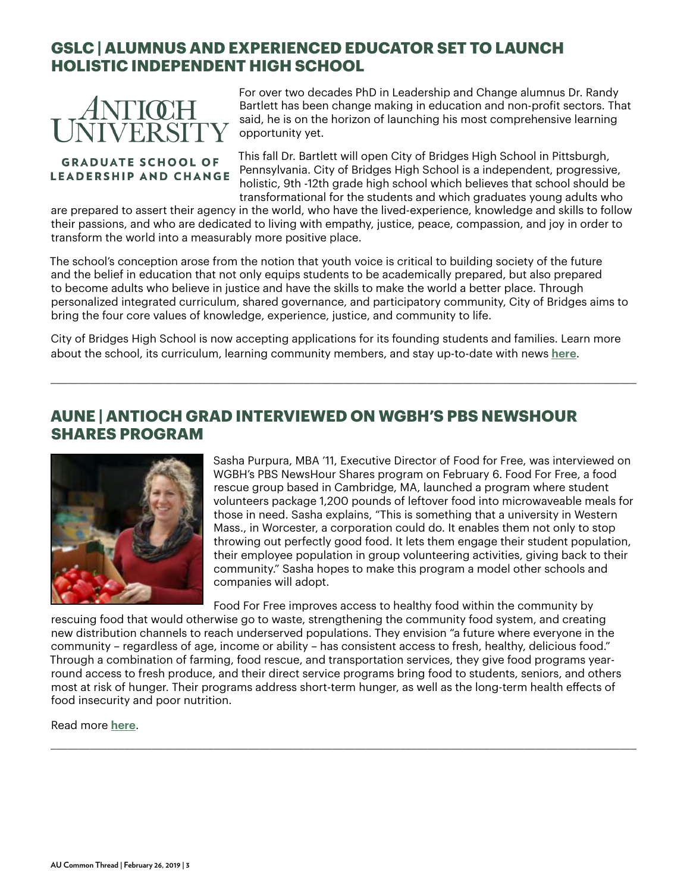## **GSLC | ALUMNUS AND EXPERIENCED EDUCATOR SET TO LAUNCH HOLISTIC INDEPENDENT HIGH SCHOOL**



#### **GRADUATE SCHOOL OF LEADERSHIP AND CHANGE**

For over two decades PhD in Leadership and Change alumnus Dr. Randy Bartlett has been change making in education and non-profit sectors. That said, he is on the horizon of launching his most comprehensive learning opportunity yet.

This fall Dr. Bartlett will open City of Bridges High School in Pittsburgh, Pennsylvania. City of Bridges High School is a independent, progressive, holistic, 9th -12th grade high school which believes that school should be transformational for the students and which graduates young adults who

are prepared to assert their agency in the world, who have the lived-experience, knowledge and skills to follow their passions, and who are dedicated to living with empathy, justice, peace, compassion, and joy in order to transform the world into a measurably more positive place.

The school's conception arose from the notion that youth voice is critical to building society of the future and the belief in education that not only equips students to be academically prepared, but also prepared to become adults who believe in justice and have the skills to make the world a better place. Through personalized integrated curriculum, shared governance, and participatory community, City of Bridges aims to bring the four core values of knowledge, experience, justice, and community to life.

City of Bridges High School is now accepting applications for its founding students and families. Learn more about the school, its curriculum, learning community members, and stay up-to-date with news **[here](http://cityofbridgeshighschool.org)**.

\_\_\_\_\_\_\_\_\_\_\_\_\_\_\_\_\_\_\_\_\_\_\_\_\_\_\_\_\_\_\_\_\_\_\_\_\_\_\_\_\_\_\_\_\_\_\_\_\_\_\_\_\_\_\_\_\_\_\_\_\_\_\_\_\_\_\_\_\_\_\_\_\_\_\_\_\_\_\_\_\_\_\_\_\_\_\_\_\_\_\_\_\_\_\_\_\_\_\_\_\_\_\_\_

#### **AUNE | ANTIOCH GRAD INTERVIEWED ON WGBH'S PBS NEWSHOUR SHARES PROGRAM**



Sasha Purpura, MBA '11, Executive Director of Food for Free, was interviewed on WGBH's PBS NewsHour Shares program on February 6. Food For Free, a food rescue group based in Cambridge, MA, launched a program where student volunteers package 1,200 pounds of leftover food into microwaveable meals for those in need. Sasha explains, "This is something that a university in Western Mass., in Worcester, a corporation could do. It enables them not only to stop throwing out perfectly good food. It lets them engage their student population, their employee population in group volunteering activities, giving back to their community." Sasha hopes to make this program a model other schools and companies will adopt.

Food For Free improves access to healthy food within the community by

rescuing food that would otherwise go to waste, strengthening the community food system, and creating new distribution channels to reach underserved populations. They envision "a future where everyone in the community – regardless of age, income or ability – has consistent access to fresh, healthy, delicious food." Through a combination of farming, food rescue, and transportation services, they give food programs yearround access to fresh produce, and their direct service programs bring food to students, seniors, and others most at risk of hunger. Their programs address short-term hunger, as well as the long-term health effects of food insecurity and poor nutrition.

\_\_\_\_\_\_\_\_\_\_\_\_\_\_\_\_\_\_\_\_\_\_\_\_\_\_\_\_\_\_\_\_\_\_\_\_\_\_\_\_\_\_\_\_\_\_\_\_\_\_\_\_\_\_\_\_\_\_\_\_\_\_\_\_\_\_\_\_\_\_\_\_\_\_\_\_\_\_\_\_\_\_\_\_\_\_\_\_\_\_\_\_\_\_\_\_\_\_\_\_\_\_\_\_

Read more **[here](https://www.pbs.org/newshour/show/how-uneaten-college-cafeteria-meals-can-help-fight-food-insecurity)**.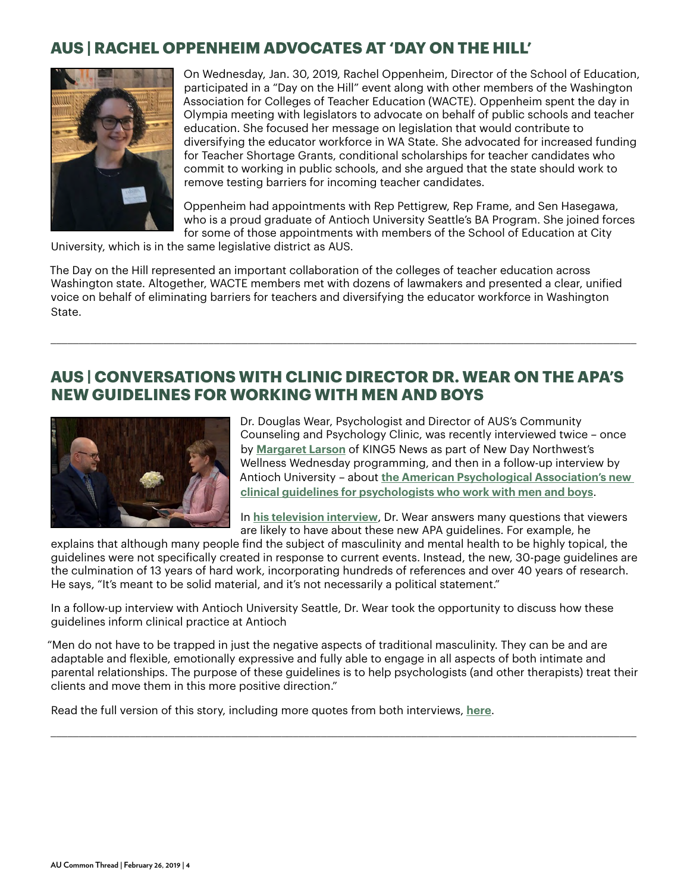## **AUS | RACHEL OPPENHEIM ADVOCATES AT 'DAY ON THE HILL'**



On Wednesday, Jan. 30, 2019, Rachel Oppenheim, Director of the School of Education, participated in a "Day on the Hill" event along with other members of the Washington Association for Colleges of Teacher Education (WACTE). Oppenheim spent the day in Olympia meeting with legislators to advocate on behalf of public schools and teacher education. She focused her message on legislation that would contribute to diversifying the educator workforce in WA State. She advocated for increased funding for Teacher Shortage Grants, conditional scholarships for teacher candidates who commit to working in public schools, and she argued that the state should work to remove testing barriers for incoming teacher candidates.

Oppenheim had appointments with Rep Pettigrew, Rep Frame, and Sen Hasegawa, who is a proud graduate of Antioch University Seattle's BA Program. She joined forces for some of those appointments with members of the School of Education at City

University, which is in the same legislative district as AUS.

The Day on the Hill represented an important collaboration of the colleges of teacher education across Washington state. Altogether, WACTE members met with dozens of lawmakers and presented a clear, unified voice on behalf of eliminating barriers for teachers and diversifying the educator workforce in Washington State.

#### **AUS | CONVERSATIONS WITH CLINIC DIRECTOR DR. WEAR ON THE APA'S NEW GUIDELINES FOR WORKING WITH MEN AND BOYS**

\_\_\_\_\_\_\_\_\_\_\_\_\_\_\_\_\_\_\_\_\_\_\_\_\_\_\_\_\_\_\_\_\_\_\_\_\_\_\_\_\_\_\_\_\_\_\_\_\_\_\_\_\_\_\_\_\_\_\_\_\_\_\_\_\_\_\_\_\_\_\_\_\_\_\_\_\_\_\_\_\_\_\_\_\_\_\_\_\_\_\_\_\_\_\_\_\_\_\_\_\_\_\_\_



Dr. Douglas Wear, Psychologist and Director of AUS's Community Counseling and Psychology Clinic, was recently interviewed twice – once by **[Margaret Larson](https://www.king5.com/article/about-us/team-bios/margaret-larson/281-95503068)** of KING5 News as part of New Day Northwest's Wellness Wednesday programming, and then in a follow-up interview by Antioch University – about **[the American Psychological Association's new](https://www.apa.org/about/policy/boys-men-practice-guidelines.pdf)  [clinical guidelines for psychologists who work with men and boys](https://www.apa.org/about/policy/boys-men-practice-guidelines.pdf)**.

In **[his television interview](https://www.king5.com/video/entertainment/television/programs/new-day-northwest/the-american-psychological-association-has-new-guidelines-for-treating-boys-and-men-new-day-northwest/281-6d4d93fc-82ea-42bf-ae4d-b728a746c3e0?jwsource=fb&fbclid=IwAR0_qmWDAC6nPm7H-xIu8epq-Cm54ag0gjBRmQ2-eLy5SZqIDKXMsxPqx9I)**, Dr. Wear answers many questions that viewers are likely to have about these new APA guidelines. For example, he

explains that although many people find the subject of masculinity and mental health to be highly topical, the guidelines were not specifically created in response to current events. Instead, the new, 30-page guidelines are the culmination of 13 years of hard work, incorporating hundreds of references and over 40 years of research. He says, "It's meant to be solid material, and it's not necessarily a political statement."

In a follow-up interview with Antioch University Seattle, Dr. Wear took the opportunity to discuss how these guidelines inform clinical practice at Antioch

"Men do not have to be trapped in just the negative aspects of traditional masculinity. They can be and are adaptable and flexible, emotionally expressive and fully able to engage in all aspects of both intimate and parental relationships. The purpose of these guidelines is to help psychologists (and other therapists) treat their clients and move them in this more positive direction."

\_\_\_\_\_\_\_\_\_\_\_\_\_\_\_\_\_\_\_\_\_\_\_\_\_\_\_\_\_\_\_\_\_\_\_\_\_\_\_\_\_\_\_\_\_\_\_\_\_\_\_\_\_\_\_\_\_\_\_\_\_\_\_\_\_\_\_\_\_\_\_\_\_\_\_\_\_\_\_\_\_\_\_\_\_\_\_\_\_\_\_\_\_\_\_\_\_\_\_\_\_\_\_\_

Read the full version of this story, including more quotes from both interviews, **[here](https://www.antioch.edu/seattle/2019/02/07/conversations-with-dr-wear-on-the-apas-new-guidelines-for-working-with-men-and-boys/)**.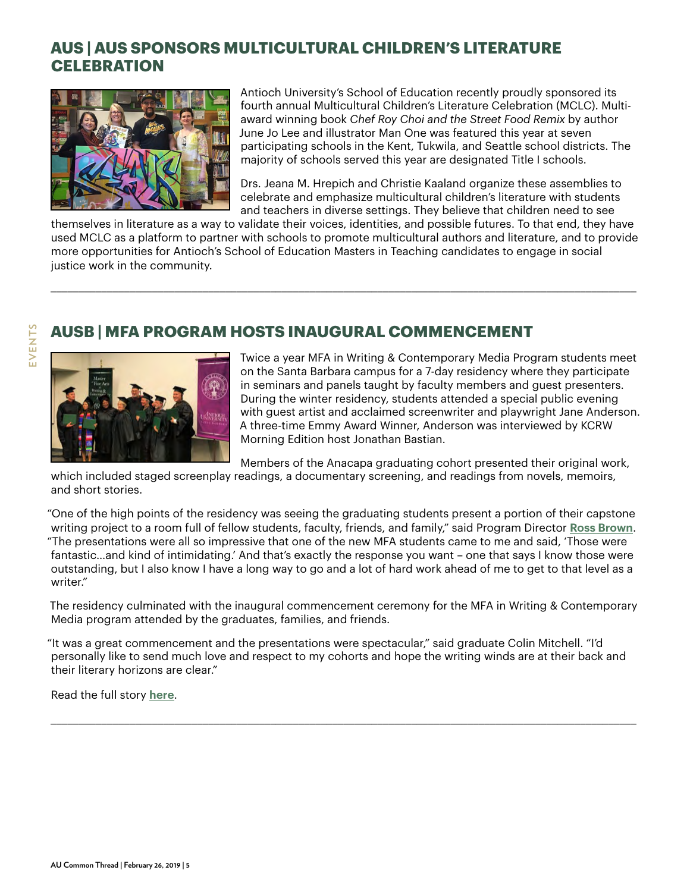#### **AUS | AUS SPONSORS MULTICULTURAL CHILDREN'S LITERATURE CELEBRATION**



Antioch University's School of Education recently proudly sponsored its fourth annual Multicultural Children's Literature Celebration (MCLC). Multiaward winning book *Chef Roy Choi and the Street Food Remix* by author June Jo Lee and illustrator Man One was featured this year at seven participating schools in the Kent, Tukwila, and Seattle school districts. The majority of schools served this year are designated Title I schools.

Drs. Jeana M. Hrepich and Christie Kaaland organize these assemblies to celebrate and emphasize multicultural children's literature with students and teachers in diverse settings. They believe that children need to see

themselves in literature as a way to validate their voices, identities, and possible futures. To that end, they have used MCLC as a platform to partner with schools to promote multicultural authors and literature, and to provide more opportunities for Antioch's School of Education Masters in Teaching candidates to engage in social justice work in the community.

\_\_\_\_\_\_\_\_\_\_\_\_\_\_\_\_\_\_\_\_\_\_\_\_\_\_\_\_\_\_\_\_\_\_\_\_\_\_\_\_\_\_\_\_\_\_\_\_\_\_\_\_\_\_\_\_\_\_\_\_\_\_\_\_\_\_\_\_\_\_\_\_\_\_\_\_\_\_\_\_\_\_\_\_\_\_\_\_\_\_\_\_\_\_\_\_\_\_\_\_\_\_\_\_

## **AUSB | MFA PROGRAM HOSTS INAUGURAL COMMENCEMENT**



Twice a year MFA in Writing & Contemporary Media Program students meet on the Santa Barbara campus for a 7-day residency where they participate in seminars and panels taught by faculty members and guest presenters. During the winter residency, students attended a special public evening with guest artist and acclaimed screenwriter and playwright Jane Anderson. A three-time Emmy Award Winner, Anderson was interviewed by KCRW Morning Edition host Jonathan Bastian.

Members of the Anacapa graduating cohort presented their original work,

which included staged screenplay readings, a documentary screening, and readings from novels, memoirs, and short stories.

"One of the high points of the residency was seeing the graduating students present a portion of their capstone writing project to a room full of fellow students, faculty, friends, and family," said Program Director **[Ross Brown](https://www.antioch.edu/santa-barbara/faculty/ross-brown/)**. "The presentations were all so impressive that one of the new MFA students came to me and said, 'Those were fantastic…and kind of intimidating.' And that's exactly the response you want – one that says I know those were outstanding, but I also know I have a long way to go and a lot of hard work ahead of me to get to that level as a writer."

The residency culminated with the inaugural commencement ceremony for the MFA in Writing & Contemporary Media program attended by the graduates, families, and friends.

"It was a great commencement and the presentations were spectacular," said graduate Colin Mitchell. "I'd personally like to send much love and respect to my cohorts and hope the writing winds are at their back and their literary horizons are clear."

\_\_\_\_\_\_\_\_\_\_\_\_\_\_\_\_\_\_\_\_\_\_\_\_\_\_\_\_\_\_\_\_\_\_\_\_\_\_\_\_\_\_\_\_\_\_\_\_\_\_\_\_\_\_\_\_\_\_\_\_\_\_\_\_\_\_\_\_\_\_\_\_\_\_\_\_\_\_\_\_\_\_\_\_\_\_\_\_\_\_\_\_\_\_\_\_\_\_\_\_\_\_\_\_

Read the full story **[here](https://www.antioch.edu/santa-barbara/2019/01/24/mfa-program-hosts-winter-residency-and-inaugral-commencement/)**.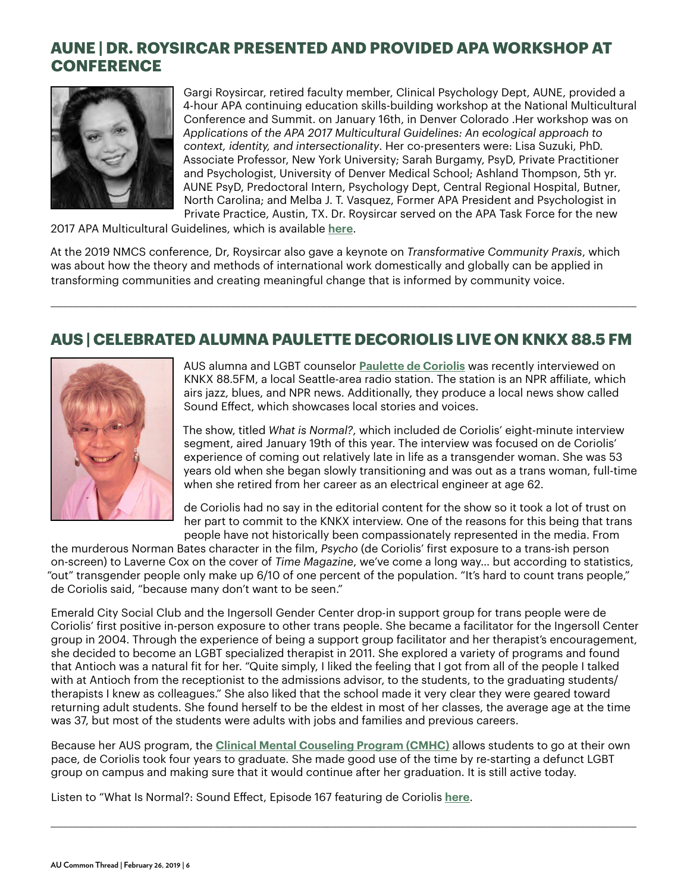#### **AUNE | DR. ROYSIRCAR PRESENTED AND PROVIDED APA WORKSHOP AT CONFERENCE**



Gargi Roysircar, retired faculty member, Clinical Psychology Dept, AUNE, provided a 4-hour APA continuing education skills-building workshop at the National Multicultural Conference and Summit. on January 16th, in Denver Colorado .Her workshop was on *Applications of the APA 2017 Multicultural Guidelines: An ecological approach to context, identity, and intersectionality*. Her co-presenters were: Lisa Suzuki, PhD. Associate Professor, New York University; Sarah Burgamy, PsyD, Private Practitioner and Psychologist, University of Denver Medical School; Ashland Thompson, 5th yr. AUNE PsyD, Predoctoral Intern, Psychology Dept, Central Regional Hospital, Butner, North Carolina; and Melba J. T. Vasquez, Former APA President and Psychologist in Private Practice, Austin, TX. Dr. Roysircar served on the APA Task Force for the new

2017 APA Multicultural Guidelines, which is available **[here](http://www.apa.org/about/policy/multicultural-guidelines.aspx)**.

At the 2019 NMCS conference, Dr, Roysircar also gave a keynote on *Transformative Community Praxis*, which was about how the theory and methods of international work domestically and globally can be applied in transforming communities and creating meaningful change that is informed by community voice.

## **AUS | CELEBRATED ALUMNA PAULETTE DECORIOLIS LIVE ON KNKX 88.5 FM**

\_\_\_\_\_\_\_\_\_\_\_\_\_\_\_\_\_\_\_\_\_\_\_\_\_\_\_\_\_\_\_\_\_\_\_\_\_\_\_\_\_\_\_\_\_\_\_\_\_\_\_\_\_\_\_\_\_\_\_\_\_\_\_\_\_\_\_\_\_\_\_\_\_\_\_\_\_\_\_\_\_\_\_\_\_\_\_\_\_\_\_\_\_\_\_\_\_\_\_\_\_\_\_\_



AUS alumna and LGBT counselor **Paulette de Coriolis** was recently interviewed on KNKX 88.5FM, a local Seattle-are[a radio station. The st](https://paulettecounseling.com)ation is an NPR affiliate, which airs jazz, blues, and NPR news. Additionally, they produce a local news show called Sound Effect, which showcases local stories and voices.

The show, titled *What is Normal?*, which included de Coriolis' eight-minute interview segment, aired January 19th of this year. The interview was focused on de Coriolis' experience of coming out relatively late in life as a transgender woman. She was 53 years old when she began slowly transitioning and was out as a trans woman, full-time when she retired from her career as an electrical engineer at age 62.

de Coriolis had no say in the editorial content for the show so it took a lot of trust on her part to commit to the KNKX interview. One of the reasons for this being that trans people have not historically been compassionately represented in the media. From

the murderous Norman Bates character in the film, *Psycho* (de Coriolis' first exposure to a trans-ish person on-screen) to Laverne Cox on the cover of *Time Magazine*, we've come a long way… but according to statistics, "out" transgender people only make up 6/10 of one percent of the population. "It's hard to count trans people," de Coriolis said, "because many don't want to be seen."

Emerald City Social Club and the Ingersoll Gender Center drop-in support group for trans people were de Coriolis' first positive in-person exposure to other trans people. She became a facilitator for the Ingersoll Center group in 2004. Through the experience of being a support group facilitator and her therapist's encouragement, she decided to become an LGBT specialized therapist in 2011. She explored a variety of programs and found that Antioch was a natural fit for her. "Quite simply, I liked the feeling that I got from all of the people I talked with at Antioch from the receptionist to the admissions advisor, to the students, to the graduating students/ therapists I knew as colleagues." She also liked that the school made it very clear they were geared toward returning adult students. She found herself to be the eldest in most of her classes, the average age at the time was 37, but most of the students were adults with jobs and families and previous careers.

Because her AUS program, the **[Clinical Mental Couseling Program \(CMHC\)](https://www.antioch.edu/seattle/degrees-programs/counseling-wellness/clinical-mental-health-counseling/)** allows students to go at their own pace, de Coriolis took four years to graduate. She made good use of the time by re-starting a defunct LGBT group on campus and making sure that it would continue after her graduation. It is still active today.

\_\_\_\_\_\_\_\_\_\_\_\_\_\_\_\_\_\_\_\_\_\_\_\_\_\_\_\_\_\_\_\_\_\_\_\_\_\_\_\_\_\_\_\_\_\_\_\_\_\_\_\_\_\_\_\_\_\_\_\_\_\_\_\_\_\_\_\_\_\_\_\_\_\_\_\_\_\_\_\_\_\_\_\_\_\_\_\_\_\_\_\_\_\_\_\_\_\_\_\_\_\_\_\_

Listen to "What Is Normal?: Sound Effect, Episode 167 featuring de Coriolis **[here](https://www.knkx.org/post/what-normal-sound-effect-episode-167)**.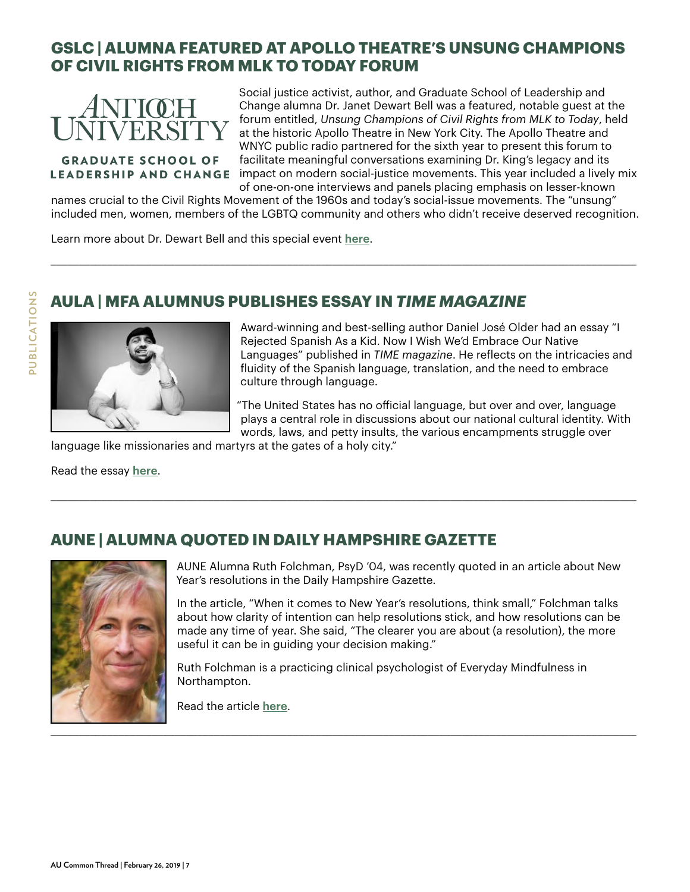## **GSLC | ALUMNA FEATURED AT APOLLO THEATRE'S UNSUNG CHAMPIONS OF CIVIL RIGHTS FROM MLK TO TODAY FORUM**



## **GRADUATE SCHOOL OF**

Social justice activist, author, and Graduate School of Leadership and Change alumna Dr. Janet Dewart Bell was a featured, notable guest at the forum entitled, *Unsung Champions of Civil Rights from MLK to Today*, held at the historic Apollo Theatre in New York City. The Apollo Theatre and WNYC public radio partnered for the sixth year to present this forum to facilitate meaningful conversations examining Dr. King's legacy and its LEADERSHIP AND CHANGE impact on modern social-justice movements. This year included a lively mix of one-on-one interviews and panels placing emphasis on lesser-known

names crucial to the Civil Rights Movement of the 1960s and today's social-issue movements. The "unsung" included men, women, members of the LGBTQ community and others who didn't receive deserved recognition.

\_\_\_\_\_\_\_\_\_\_\_\_\_\_\_\_\_\_\_\_\_\_\_\_\_\_\_\_\_\_\_\_\_\_\_\_\_\_\_\_\_\_\_\_\_\_\_\_\_\_\_\_\_\_\_\_\_\_\_\_\_\_\_\_\_\_\_\_\_\_\_\_\_\_\_\_\_\_\_\_\_\_\_\_\_\_\_\_\_\_\_\_\_\_\_\_\_\_\_\_\_\_\_\_

\_\_\_\_\_\_\_\_\_\_\_\_\_\_\_\_\_\_\_\_\_\_\_\_\_\_\_\_\_\_\_\_\_\_\_\_\_\_\_\_\_\_\_\_\_\_\_\_\_\_\_\_\_\_\_\_\_\_\_\_\_\_\_\_\_\_\_\_\_\_\_\_\_\_\_\_\_\_\_\_\_\_\_\_\_\_\_\_\_\_\_\_\_\_\_\_\_\_\_\_\_\_\_\_

Learn more about Dr. Dewart Bell and this special event **[here](https://janetdewartbell.com)**.

## **AULA | MFA ALUMNUS PUBLISHES ESSAY IN** *TIME MAGAZINE*



Award-winning and best-selling author Daniel José Older had an essay "I Rejected Spanish As a Kid. Now I Wish We'd Embrace Our Native Languages" published in *TIME magazine*. He reflects on the intricacies and fluidity of the Spanish language, translation, and the need to embrace culture through language.

"The United States has no official language, but over and over, language plays a central role in discussions about our national cultural identity. With words, laws, and petty insults, the various encampments struggle over

language like missionaries and martyrs at the gates of a holy city."

Read the essay **[here](http://time.com/5528434/daniel-jose-older-spanish/?xid=tcoshare&fbclid=IwAR2tnpW5eDkVRF7LvN-VpToJmAHDhupqCB4PGy9RKfn4eX13yMd7iEP8lOg)**.

#### **AUNE | ALUMNA QUOTED IN DAILY HAMPSHIRE GAZETTE**



AUNE Alumna Ruth Folchman, PsyD '04, was recently quoted in an article about New Year's resolutions in the Daily Hampshire Gazette.

In the article, "When it comes to New Year's resolutions, think small," Folchman talks about how clarity of intention can help resolutions stick, and how resolutions can be made any time of year. She said, "The clearer you are about (a resolution), the more useful it can be in guiding your decision making."

Ruth Folchman is a practicing clinical psychologist of Everyday Mindfulness in Northampton.

Read the article **[here](https://www.gazettenet.com/Micro-resolutions-22425567)**.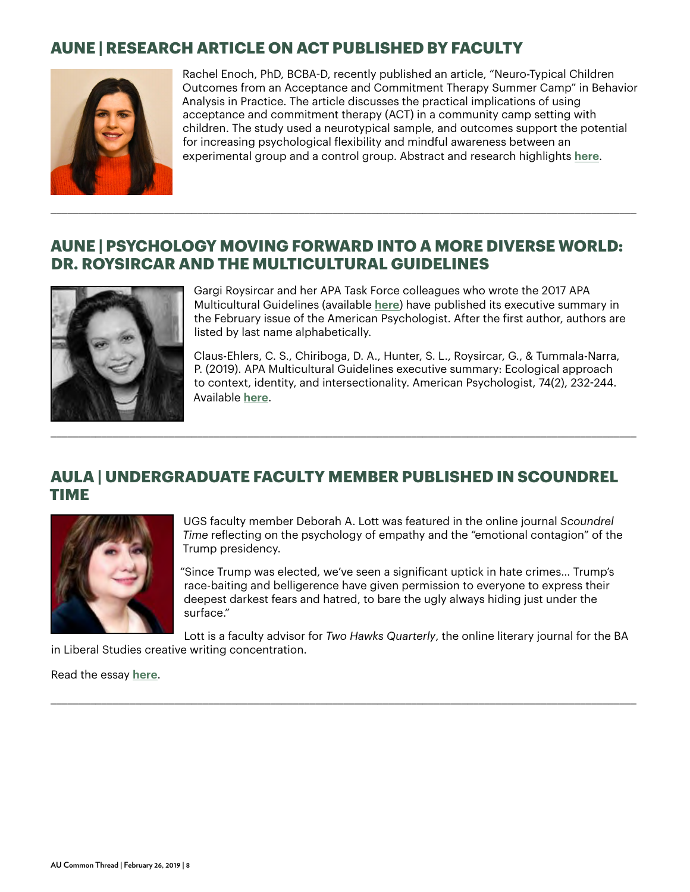## **AUNE | RESEARCH ARTICLE ON ACT PUBLISHED BY FACULTY**



Rachel Enoch, PhD, BCBA-D, recently published an article, "Neuro-Typical Children Outcomes from an Acceptance and Commitment Therapy Summer Camp" in Behavior Analysis in Practice. The article discusses the practical implications of using acceptance and commitment therapy (ACT) in a community camp setting with children. The study used a neurotypical sample, and outcomes support the potential for increasing psychological flexibility and mindful awareness between an experimental group and a control group. Abstract and research highlights **[here](https://link.springer.com/article/10.1007/s40617-018-00319-0)**.

#### **AUNE | PSYCHOLOGY MOVING FORWARD INTO A MORE DIVERSE WORLD: DR. ROYSIRCAR AND THE MULTICULTURAL GUIDELINES**

\_\_\_\_\_\_\_\_\_\_\_\_\_\_\_\_\_\_\_\_\_\_\_\_\_\_\_\_\_\_\_\_\_\_\_\_\_\_\_\_\_\_\_\_\_\_\_\_\_\_\_\_\_\_\_\_\_\_\_\_\_\_\_\_\_\_\_\_\_\_\_\_\_\_\_\_\_\_\_\_\_\_\_\_\_\_\_\_\_\_\_\_\_\_\_\_\_\_\_\_\_\_\_\_



Gargi Roysircar and her APA Task Force colleagues who wrote the 2017 APA Multicultural Guidelines (available **[here](http://www.apa.org/about/policy/multicultural-guidelines.aspx)**) have published its executive summary in the February issue of the American Psychologist. After the first author, authors are listed by last name alphabetically.

Claus-Ehlers, C. S., Chiriboga, D. A., Hunter, S. L., Roysircar, G., & Tummala-Narra, P. (2019). APA Multicultural Guidelines executive summary: Ecological approach to context, identity, and intersectionality. American Psychologist, 74(2), 232-244. Available **[here](http://dx.doi.org/10.1037/amp0000382)**.

#### **AULA | UNDERGRADUATE FACULTY MEMBER PUBLISHED IN SCOUNDREL TIME**



UGS faculty member Deborah A. Lott was featured in the online journal *Scoundrel Time* reflecting on the psychology of empathy and the "emotional contagion" of the Trump presidency.

"Since Trump was elected, we've seen a significant uptick in hate crimes… Trump's race-baiting and belligerence have given permission to everyone to express their deepest darkest fears and hatred, to bare the ugly always hiding just under the surface."

Lott is a faculty advisor for *Two Hawks Quarterly*, the online literary journal for the BA in Liberal Studies creative writing concentration.

\_\_\_\_\_\_\_\_\_\_\_\_\_\_\_\_\_\_\_\_\_\_\_\_\_\_\_\_\_\_\_\_\_\_\_\_\_\_\_\_\_\_\_\_\_\_\_\_\_\_\_\_\_\_\_\_\_\_\_\_\_\_\_\_\_\_\_\_\_\_\_\_\_\_\_\_\_\_\_\_\_\_\_\_\_\_\_\_\_\_\_\_\_\_\_\_\_\_\_\_\_\_\_\_

Read the essay **[here](https://scoundreltime.com/the-trump-in-me/?fbclid=IwAR1I5s9gwOiAXqqBRy_PS5k385L5oQnUvWWO87Y9IzIsY-HQ4NgAhjHY8Js)**.